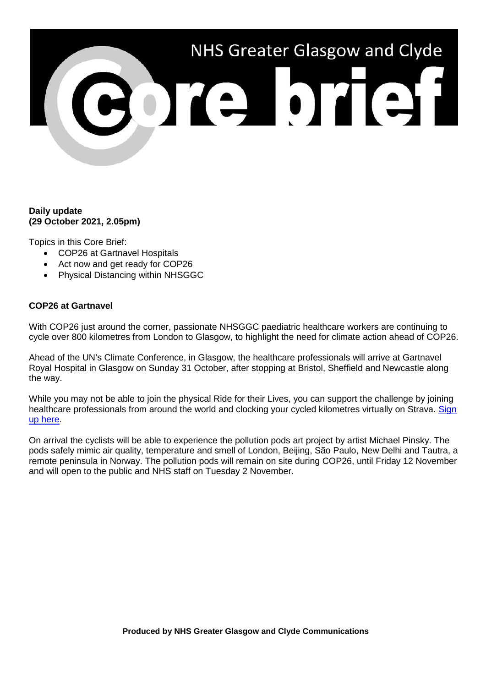

## **Daily update (29 October 2021, 2.05pm)**

Topics in this Core Brief:

- COP26 at Gartnavel Hospitals
- Act now and get ready for COP26
- Physical Distancing within NHSGGC

## **COP26 at Gartnavel**

With COP26 just around the corner, passionate NHSGGC paediatric healthcare workers are continuing to cycle over 800 kilometres from London to Glasgow, to highlight the need for climate action ahead of COP26.

Ahead of the UN's Climate Conference, in Glasgow, the healthcare professionals will arrive at Gartnavel Royal Hospital in Glasgow on Sunday 31 October, after stopping at Bristol, Sheffield and Newcastle along the way.

While you may not be able to join the physical Ride for their Lives, you can support the challenge by joining healthcare professionals from around the world and clocking your cycled kilometres virtually on Strava. Sign [up here.](https://climateacceptancestudios.com/ridefortheirlives)

On arrival the cyclists will be able to experience the pollution pods art project by artist Michael Pinsky. The pods safely mimic air quality, temperature and smell of London, Beijing, São Paulo, New Delhi and Tautra, a remote peninsula in Norway. The pollution pods will remain on site during COP26, until Friday 12 November and will open to the public and NHS staff on Tuesday 2 November.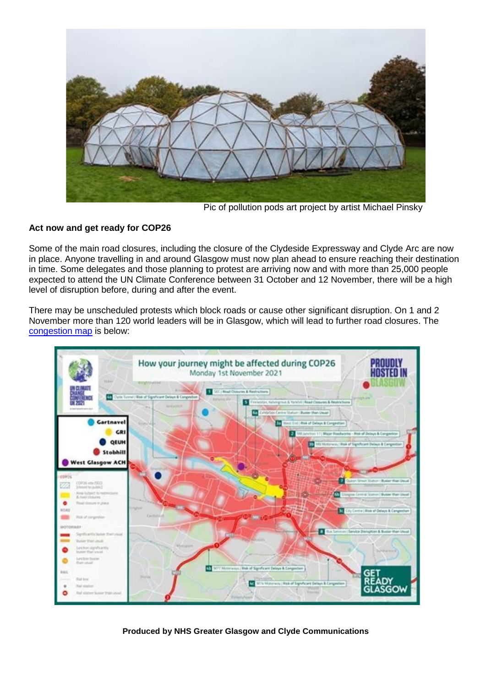

Pic of pollution pods art project by artist Michael Pinsky

## **Act now and get ready for COP26**

Some of the main road closures, including the closure of the Clydeside Expressway and Clyde Arc are now in place. Anyone travelling in and around Glasgow must now plan ahead to ensure reaching their destination in time. Some delegates and those planning to protest are arriving now and with more than 25,000 people expected to attend the UN Climate Conference between 31 October and 12 November, there will be a high level of disruption before, during and after the event.

There may be unscheduled protests which block roads or cause other significant disruption. On 1 and 2 November more than 120 world leaders will be in Glasgow, which will lead to further road closures. The [congestion map](https://www.nhsggc.org.uk/about-us/cop26-conference/staff-information/) is below:



**Produced by NHS Greater Glasgow and Clyde Communications**